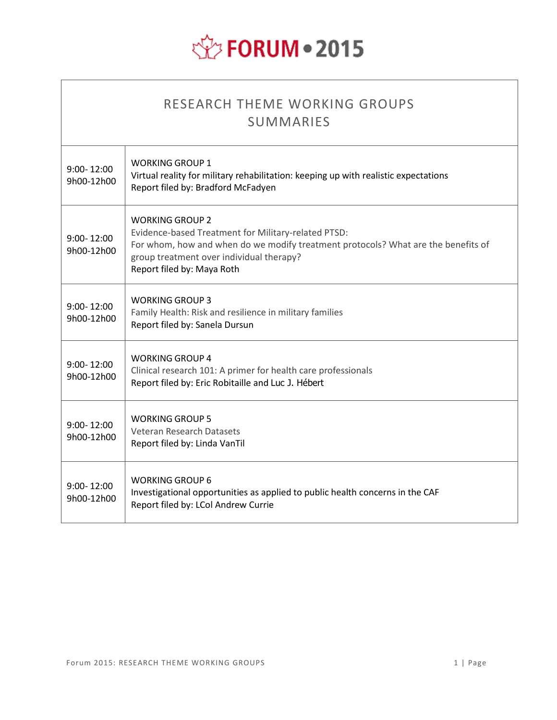# **EXPEDRUM . 2015**

| RESEARCH THEME WORKING GROUPS<br><b>SUMMARIES</b> |                                                                                                                                                                                                                                       |  |  |
|---------------------------------------------------|---------------------------------------------------------------------------------------------------------------------------------------------------------------------------------------------------------------------------------------|--|--|
| $9:00 - 12:00$<br>9h00-12h00                      | <b>WORKING GROUP 1</b><br>Virtual reality for military rehabilitation: keeping up with realistic expectations<br>Report filed by: Bradford McFadyen                                                                                   |  |  |
| $9:00 - 12:00$<br>9h00-12h00                      | WORKING GROUP 2<br>Evidence-based Treatment for Military-related PTSD:<br>For whom, how and when do we modify treatment protocols? What are the benefits of<br>group treatment over individual therapy?<br>Report filed by: Maya Roth |  |  |
| $9:00 - 12:00$<br>9h00-12h00                      | <b>WORKING GROUP 3</b><br>Family Health: Risk and resilience in military families<br>Report filed by: Sanela Dursun                                                                                                                   |  |  |
| $9:00 - 12:00$<br>9h00-12h00                      | <b>WORKING GROUP 4</b><br>Clinical research 101: A primer for health care professionals<br>Report filed by: Eric Robitaille and Luc J. Hébert                                                                                         |  |  |
| $9:00 - 12:00$<br>9h00-12h00                      | <b>WORKING GROUP 5</b><br>Veteran Research Datasets<br>Report filed by: Linda VanTil                                                                                                                                                  |  |  |
| $9:00 - 12:00$<br>9h00-12h00                      | <b>WORKING GROUP 6</b><br>Investigational opportunities as applied to public health concerns in the CAF<br>Report filed by: LCol Andrew Currie                                                                                        |  |  |

 $\Gamma$ 

٦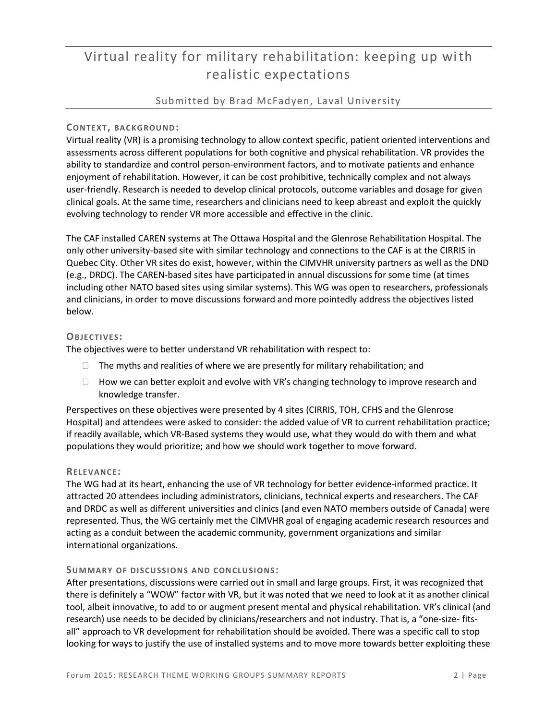# Virtual reality for military rehabilitation: keeping up with realistic expectations

#### Submitted by Brad McFadyen, Laval University

#### $CONTEXT$ , **BACKGROUND**:

Virtual reality (VR) is a promising technology to allow context specific, patient oriented interventions and assessments across different populations for both cognitive and physical rehabilitation. VR provides the ability to standardize and control person-environment factors, and to motivate patients and enhance enjoyment of rehabilitation. However, it can be cost prohibitive, technically complex and not always user-friendly. Research is needed to develop clinical protocols, outcome variables and dosage for given clinical goals. At the same time, researchers and clinicians need to keep abreast and exploit the quickly evolving technology to render VR more accessible and effective in the clinic.

The CAF installed CAREN systems at The Ottawa Hospital and the Glenrose Rehabilitation Hospital. The only other university-based site with similar technology and connections to the CAF is at the CIRRIS in Quebec City. Other VR sites do exist, however, within the CIMVHR university partners as well as the DND (e.g., DRDC). The CAREN-based sites have participated in annual discussions for some time (at times including other NATO based sites using similar systems). This WG was open to researchers, professionals and clinicians, in order to move discussions forward and more pointedly address the objectives listed below.

#### **OBJEC TIVES:**

The objectives were to better understand VR rehabilitation with respect to:

- $\Box$  The myths and realities of where we are presently for military rehabilitation; and
- $\Box$  How we can better exploit and evolve with VR's changing technology to improve research and knowledge transfer.

Perspectives on these objectives were presented by 4 sites (CIRRIS, TOH, CFHS and the Glenrose Hospital) and attendees were asked to consider: the added value of VR to current rehabilitation practice; if readily available, which VR-Based systems they would use, what they would do with them and what populations they would prioritize; and how we should work together to move forward.

#### **RELE VANCE:**

The WG had at its heart, enhancing the use of VR technology for better evidence-informed practice. It attracted 20 attendees including administrators, clinicians, technical experts and researchers. The CAF and DRDC as well as different universities and clinics (and even NATO members outside of Canada) were represented. Thus, the WG certainly met the CIMVHR goal of engaging academic research resources and acting as a conduit between the academic community, government organizations and similar international organizations.

#### **SUMMA RY OF DISCU SSIONS AND C ONCLU SIONS:**

After presentations, discussions were carried out in small and large groups. First, it was recognized that there is definitely a "WOW" factor with VR, but it was noted that we need to look at it as another clinical tool, albeit innovative, to add to or augment present mental and physical rehabilitation. VR's clinical (and research) use needs to be decided by clinicians/researchers and not industry. That is, a "one-size- fitsall" approach to VR development for rehabilitation should be avoided. There was a specific call to stop looking for ways to justify the use of installed systems and to move more towards better exploiting these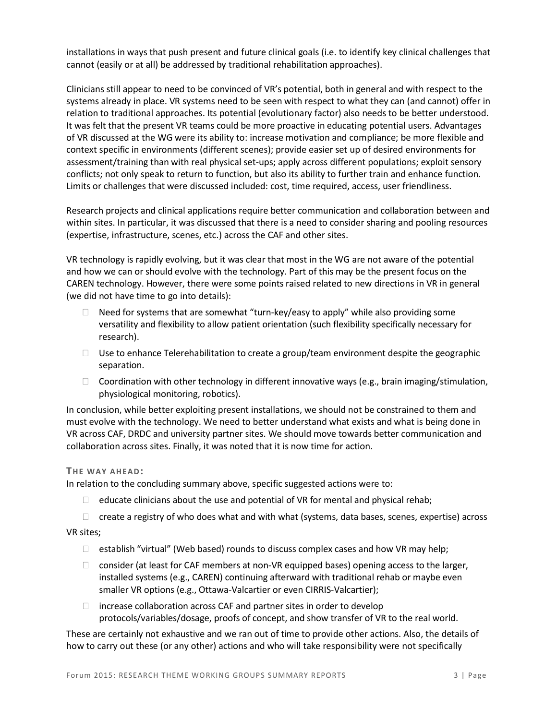installations in ways that push present and future clinical goals (i.e. to identify key clinical challenges that cannot (easily or at all) be addressed by traditional rehabilitation approaches).

Clinicians still appear to need to be convinced of VR's potential, both in general and with respect to the systems already in place. VR systems need to be seen with respect to what they can (and cannot) offer in relation to traditional approaches. Its potential (evolutionary factor) also needs to be better understood. It was felt that the present VR teams could be more proactive in educating potential users. Advantages of VR discussed at the WG were its ability to: increase motivation and compliance; be more flexible and context specific in environments (different scenes); provide easier set up of desired environments for assessment/training than with real physical set-ups; apply across different populations; exploit sensory conflicts; not only speak to return to function, but also its ability to further train and enhance function. Limits or challenges that were discussed included: cost, time required, access, user friendliness.

Research projects and clinical applications require better communication and collaboration between and within sites. In particular, it was discussed that there is a need to consider sharing and pooling resources (expertise, infrastructure, scenes, etc.) across the CAF and other sites.

VR technology is rapidly evolving, but it was clear that most in the WG are not aware of the potential and how we can or should evolve with the technology. Part of this may be the present focus on the CAREN technology. However, there were some points raised related to new directions in VR in general (we did not have time to go into details):

- $\Box$  Need for systems that are somewhat "turn-key/easy to apply" while also providing some versatility and flexibility to allow patient orientation (such flexibility specifically necessary for research).
- $\Box$  Use to enhance Telerehabilitation to create a group/team environment despite the geographic separation.
- $\Box$  Coordination with other technology in different innovative ways (e.g., brain imaging/stimulation, physiological monitoring, robotics).

In conclusion, while better exploiting present installations, we should not be constrained to them and must evolve with the technology. We need to better understand what exists and what is being done in VR across CAF, DRDC and university partner sites. We should move towards better communication and collaboration across sites. Finally, it was noted that it is now time for action.

#### **THE WAY AHEAD:**

In relation to the concluding summary above, specific suggested actions were to:

- $\Box$  educate clinicians about the use and potential of VR for mental and physical rehab;
- $\Box$  create a registry of who does what and with what (systems, data bases, scenes, expertise) across

#### VR sites;

- $\Box$  establish "virtual" (Web based) rounds to discuss complex cases and how VR may help;
- $\Box$  consider (at least for CAF members at non-VR equipped bases) opening access to the larger, installed systems (e.g., CAREN) continuing afterward with traditional rehab or maybe even smaller VR options (e.g., Ottawa-Valcartier or even CIRRIS-Valcartier);
- $\Box$  increase collaboration across CAF and partner sites in order to develop protocols/variables/dosage, proofs of concept, and show transfer of VR to the real world.

These are certainly not exhaustive and we ran out of time to provide other actions. Also, the details of how to carry out these (or any other) actions and who will take responsibility were not specifically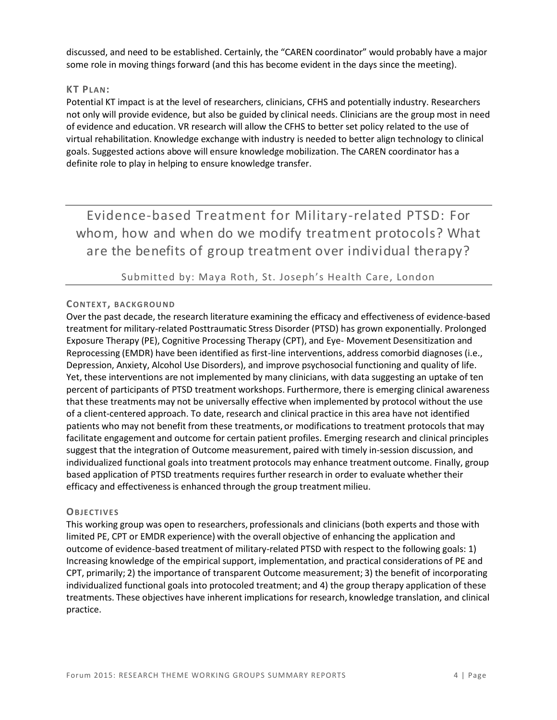discussed, and need to be established. Certainly, the "CAREN coordinator" would probably have a major some role in moving things forward (and this has become evident in the days since the meeting).

#### **KT PLAN:**

Potential KT impact is at the level of researchers, clinicians, CFHS and potentially industry. Researchers not only will provide evidence, but also be guided by clinical needs. Clinicians are the group most in need of evidence and education. VR research will allow the CFHS to better set policy related to the use of virtual rehabilitation. Knowledge exchange with industry is needed to better align technology to clinical goals. Suggested actions above will ensure knowledge mobilization. The CAREN coordinator has a definite role to play in helping to ensure knowledge transfer.

Evidence-based Treatment for Military-related PTSD: For whom, how and when do we modify treatment protocols? What are the benefits of group treatment over individual therapy?

#### Submitted by: Maya Roth, St. Joseph's Health Care, London

#### **CONTEX T, BAC KGROU ND**

Over the past decade, the research literature examining the efficacy and effectiveness of evidence-based treatment for military-related Posttraumatic Stress Disorder (PTSD) has grown exponentially. Prolonged Exposure Therapy (PE), Cognitive Processing Therapy (CPT), and Eye- Movement Desensitization and Reprocessing (EMDR) have been identified as first-line interventions, address comorbid diagnoses (i.e., Depression, Anxiety, Alcohol Use Disorders), and improve psychosocial functioning and quality of life. Yet, these interventions are not implemented by many clinicians, with data suggesting an uptake of ten percent of participants of PTSD treatment workshops. Furthermore, there is emerging clinical awareness that these treatments may not be universally effective when implemented by protocol without the use of a client-centered approach. To date, research and clinical practice in this area have not identified patients who may not benefit from these treatments, or modifications to treatment protocols that may facilitate engagement and outcome for certain patient profiles. Emerging research and clinical principles suggest that the integration of Outcome measurement, paired with timely in-session discussion, and individualized functional goals into treatment protocols may enhance treatment outcome. Finally, group based application of PTSD treatments requires further research in order to evaluate whether their efficacy and effectivenessis enhanced through the group treatment milieu.

#### **OBJEC TIVES**

This working group was open to researchers, professionals and clinicians (both experts and those with limited PE, CPT or EMDR experience) with the overall objective of enhancing the application and outcome of evidence-based treatment of military-related PTSD with respect to the following goals: 1) Increasing knowledge of the empirical support, implementation, and practical considerations of PE and CPT, primarily; 2) the importance of transparent Outcome measurement; 3) the benefit of incorporating individualized functional goals into protocoled treatment; and 4) the group therapy application of these treatments. These objectives have inherent implications for research, knowledge translation, and clinical practice.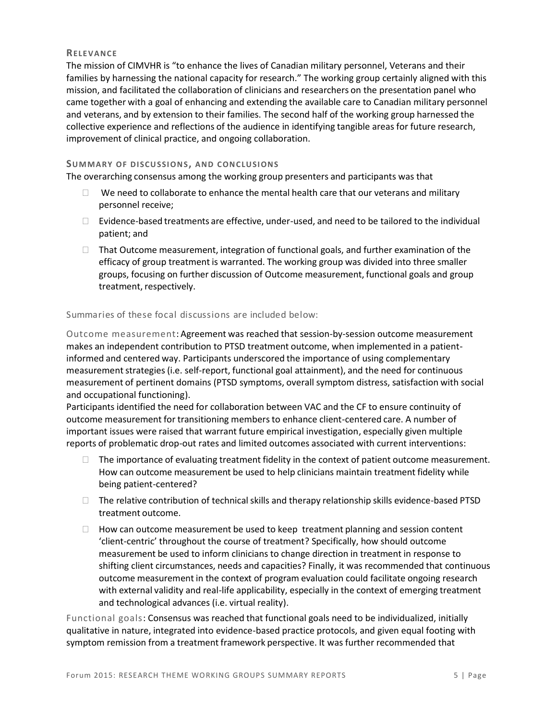#### **RELE VANCE**

The mission of CIMVHR is "to enhance the lives of Canadian military personnel, Veterans and their families by harnessing the national capacity for research." The working group certainly aligned with this mission, and facilitated the collaboration of clinicians and researchers on the presentation panel who came together with a goal of enhancing and extending the available care to Canadian military personnel and veterans, and by extension to their families. The second half of the working group harnessed the collective experience and reflections of the audience in identifying tangible areas for future research, improvement of clinical practice, and ongoing collaboration.

#### **SUMMA RY OF DISCU SSIONS, AND C ONC LUSIONS**

The overarching consensus among the working group presenters and participants was that

- $\Box$  We need to collaborate to enhance the mental health care that our veterans and military personnel receive;
- $\Box$  Evidence-based treatments are effective, under-used, and need to be tailored to the individual patient; and
- $\Box$  That Outcome measurement, integration of functional goals, and further examination of the efficacy of group treatment is warranted. The working group was divided into three smaller groups, focusing on further discussion of Outcome measurement, functional goals and group treatment, respectively.

#### Summaries of these focal discussions are included below:

Outcome measurement: Agreement was reached that session-by-session outcome measurement makes an independent contribution to PTSD treatment outcome, when implemented in a patientinformed and centered way. Participants underscored the importance of using complementary measurement strategies (i.e. self-report, functional goal attainment), and the need for continuous measurement of pertinent domains (PTSD symptoms, overall symptom distress, satisfaction with social and occupational functioning).

Participants identified the need for collaboration between VAC and the CF to ensure continuity of outcome measurement for transitioning membersto enhance client-centered care. A number of important issues were raised that warrant future empirical investigation, especially given multiple reports of problematic drop-out rates and limited outcomes associated with current interventions:

- $\Box$  The importance of evaluating treatment fidelity in the context of patient outcome measurement. How can outcome measurement be used to help clinicians maintain treatment fidelity while being patient-centered?
- $\Box$  The relative contribution of technical skills and therapy relationship skills evidence-based PTSD treatment outcome.
- $\Box$  How can outcome measurement be used to keep treatment planning and session content 'client-centric' throughout the course of treatment? Specifically, how should outcome measurement be used to inform clinicians to change direction in treatment in response to shifting client circumstances, needs and capacities? Finally, it was recommended that continuous outcome measurement in the context of program evaluation could facilitate ongoing research with external validity and real-life applicability, especially in the context of emerging treatment and technological advances (i.e. virtual reality).

Functional goals: Consensus was reached that functional goals need to be individualized, initially qualitative in nature, integrated into evidence-based practice protocols, and given equal footing with symptom remission from a treatment framework perspective. It was further recommended that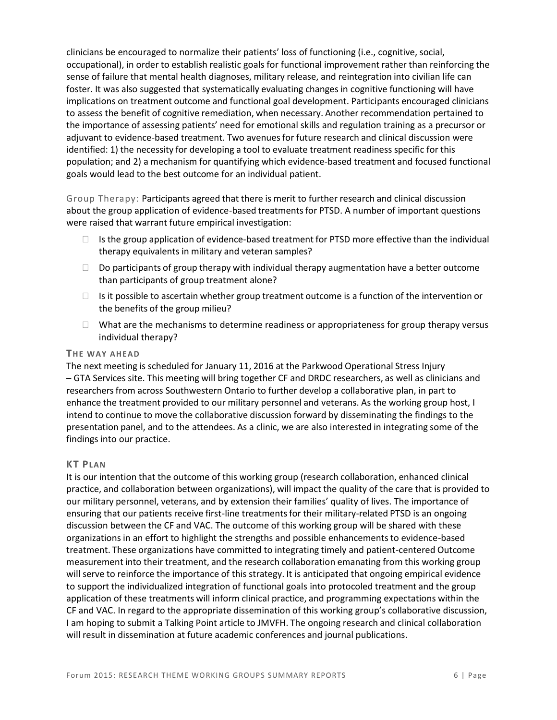clinicians be encouraged to normalize their patients' loss of functioning (i.e., cognitive, social, occupational), in order to establish realistic goals for functional improvement rather than reinforcing the sense of failure that mental health diagnoses, military release, and reintegration into civilian life can foster. It was also suggested that systematically evaluating changes in cognitive functioning will have implications on treatment outcome and functional goal development. Participants encouraged clinicians to assess the benefit of cognitive remediation, when necessary. Another recommendation pertained to the importance of assessing patients' need for emotional skills and regulation training as a precursor or adjuvant to evidence-based treatment. Two avenuesfor future research and clinical discussion were identified: 1) the necessity for developing a tool to evaluate treatment readiness specific for this population; and 2) a mechanism for quantifying which evidence-based treatment and focused functional goals would lead to the best outcome for an individual patient.

Group Therapy: Participants agreed that there is merit to further research and clinical discussion about the group application of evidence-based treatmentsfor PTSD. A number of important questions were raised that warrant future empirical investigation:

- $\Box$  Is the group application of evidence-based treatment for PTSD more effective than the individual therapy equivalents in military and veteran samples?
- $\Box$  Do participants of group therapy with individual therapy augmentation have a better outcome than participants of group treatment alone?
- $\Box$  Is it possible to ascertain whether group treatment outcome is a function of the intervention or the benefits of the group milieu?
- $\Box$  What are the mechanisms to determine readiness or appropriateness for group therapy versus individual therapy?

#### **THE WAY AHEA D**

The next meeting is scheduled for January 11, 2016 at the Parkwood Operational Stress Injury – GTA Services site. This meeting will bring together CF and DRDC researchers, as well as clinicians and researchers from across Southwestern Ontario to further develop a collaborative plan, in part to enhance the treatment provided to our military personnel and veterans. As the working group host, I intend to continue to move the collaborative discussion forward by disseminating the findings to the presentation panel, and to the attendees. As a clinic, we are also interested in integrating some of the findings into our practice.

#### **KT PLAN**

It is our intention that the outcome of this working group (research collaboration, enhanced clinical practice, and collaboration between organizations), will impact the quality of the care that is provided to our military personnel, veterans, and by extension their families' quality of lives. The importance of ensuring that our patients receive first-line treatmentsfor their military-related PTSD is an ongoing discussion between the CF and VAC. The outcome of this working group will be shared with these organizations in an effort to highlight the strengths and possible enhancementsto evidence-based treatment. These organizations have committed to integrating timely and patient-centered Outcome measurement into their treatment, and the research collaboration emanating from this working group will serve to reinforce the importance of this strategy. It is anticipated that ongoing empirical evidence to support the individualized integration of functional goals into protocoled treatment and the group application of these treatments will inform clinical practice, and programming expectations within the CF and VAC. In regard to the appropriate dissemination of this working group's collaborative discussion, I am hoping to submit a Talking Point article to JMVFH. The ongoing research and clinical collaboration will result in dissemination at future academic conferences and journal publications.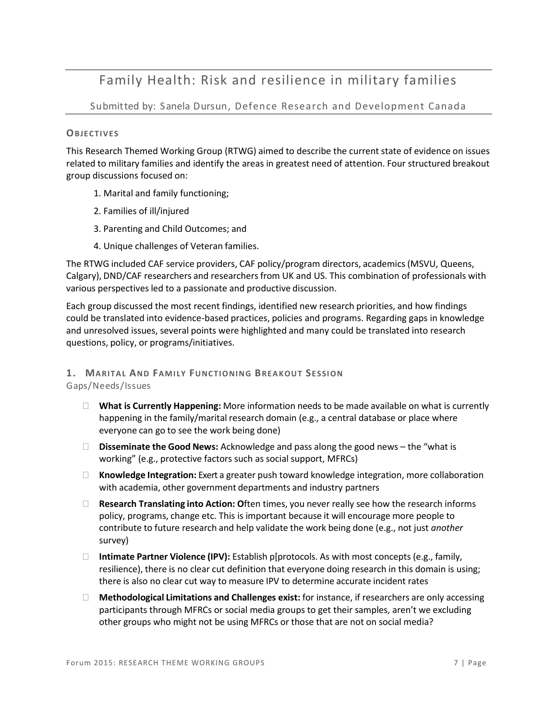## Family Health: Risk and resilience in military families

Submitted by: Sanela Dursun, Defence Research and Development Canada

#### **OBJEC TIVES**

This Research Themed Working Group (RTWG) aimed to describe the current state of evidence on issues related to military families and identify the areas in greatest need of attention. Four structured breakout group discussions focused on:

- 1. Marital and family functioning;
- 2. Families of ill/injured
- 3. Parenting and Child Outcomes; and
- 4. Unique challenges of Veteran families.

The RTWG included CAF service providers, CAF policy/program directors, academics (MSVU, Queens, Calgary), DND/CAF researchers and researchersfrom UK and US. This combination of professionals with various perspectives led to a passionate and productive discussion.

Each group discussed the most recent findings, identified new research priorities, and how findings could be translated into evidence-based practices, policies and programs. Regarding gaps in knowledge and unresolved issues, several points were highlighted and many could be translated into research questions, policy, or programs/initiatives.

### **1. MA RITA L AND FA MILY FUNC TIONING BREA KOUT SE SSION**

Gaps/Needs/Issues

- **What is Currently Happening:** More information needs to be made available on what is currently happening in the family/marital research domain (e.g., a central database or place where everyone can go to see the work being done)
- **Disseminate the Good News:** Acknowledge and pass along the good news the "what is working" (e.g., protective factors such as social support, MFRCs)
- **Knowledge Integration:** Exert a greater push toward knowledge integration, more collaboration with academia, other government departments and industry partners
- **Research Translating into Action: O**ften times, you never really see how the research informs policy, programs, change etc. This is important because it will encourage more people to contribute to future research and help validate the work being done (e.g., not just *another* survey)
- **Intimate Partner Violence (IPV):** Establish p[protocols. As with most concepts (e.g., family, resilience), there is no clear cut definition that everyone doing research in this domain is using; there is also no clear cut way to measure IPV to determine accurate incident rates
- **Methodological Limitations and Challenges exist:** for instance, if researchers are only accessing participants through MFRCs or social media groups to get their samples, aren't we excluding other groups who might not be using MFRCs or those that are not on social media?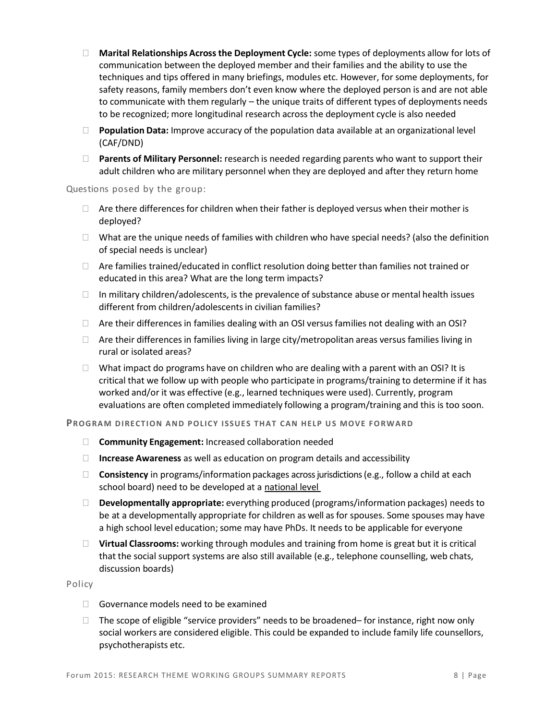- **Marital Relationships Acrossthe Deployment Cycle:** some types of deployments allow for lots of communication between the deployed member and their families and the ability to use the techniques and tips offered in many briefings, modules etc. However, for some deployments, for safety reasons, family members don't even know where the deployed person is and are not able to communicate with them regularly – the unique traits of different types of deployments needs to be recognized; more longitudinal research across the deployment cycle is also needed
- **Population Data:** Improve accuracy of the population data available at an organizational level (CAF/DND)
- **Parents of Military Personnel:** research is needed regarding parents who want to support their adult children who are military personnel when they are deployed and after they return home

Questions posed by the group:

- $\Box$  Are there differences for children when their father is deployed versus when their mother is deployed?
- $\Box$  What are the unique needs of families with children who have special needs? (also the definition of special needs is unclear)
- $\Box$  Are families trained/educated in conflict resolution doing better than families not trained or educated in this area? What are the long term impacts?
- $\Box$  In military children/adolescents, is the prevalence of substance abuse or mental health issues different from children/adolescentsin civilian families?
- $\Box$  Are their differences in families dealing with an OSI versus families not dealing with an OSI?
- $\Box$  Are their differences in families living in large city/metropolitan areas versus families living in rural or isolated areas?
- $\Box$  What impact do programs have on children who are dealing with a parent with an OSI? It is critical that we follow up with people who participate in programs/training to determine if it has worked and/or it was effective (e.g., learned techniques were used). Currently, program evaluations are often completed immediately following a program/training and this is too soon.

**PROGRAM DIRECTION AND POLICY ISSUES THAT CAN HELP US MOVE FORWARD** 

- **Community Engagement:** Increased collaboration needed
- **Increase Awareness** as well as education on program details and accessibility
- **Consistency** in programs/information packages across jurisdictions (e.g., follow a child at each school board) need to be developed at a national level
- **Developmentally appropriate:** everything produced (programs/information packages) needs to be at a developmentally appropriate for children as well as for spouses. Some spouses may have a high school level education; some may have PhDs. It needs to be applicable for everyone
- **Virtual Classrooms:** working through modules and training from home is great but it is critical that the social support systems are also still available (e.g., telephone counselling, web chats, discussion boards)

Policy

- $\Box$  Governance models need to be examined
- $\Box$  The scope of eligible "service providers" needs to be broadened– for instance, right now only social workers are considered eligible. This could be expanded to include family life counsellors, psychotherapists etc.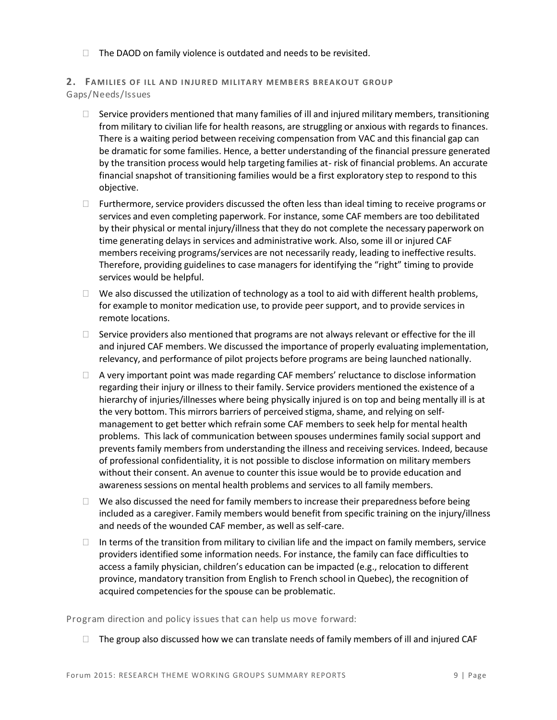$\Box$  The DAOD on family violence is outdated and needs to be revisited.

#### **2. FAMILIES OF ILL AND INJURED MILITARY MEMBERS BREAKOUT GROUP** Gaps/Needs/Issues

- $\Box$  Service providers mentioned that many families of ill and injured military members, transitioning from military to civilian life for health reasons, are struggling or anxious with regards to finances. There is a waiting period between receiving compensation from VAC and this financial gap can be dramatic for some families. Hence, a better understanding of the financial pressure generated by the transition process would help targeting families at- risk of financial problems. An accurate financial snapshot of transitioning families would be a first exploratory step to respond to this objective.
- $\Box$  Furthermore, service providers discussed the often less than ideal timing to receive programs or services and even completing paperwork. For instance, some CAF members are too debilitated by their physical or mental injury/illness that they do not complete the necessary paperwork on time generating delays in services and administrative work. Also, some ill or injured CAF members receiving programs/services are not necessarily ready, leading to ineffective results. Therefore, providing guidelines to case managers for identifying the "right" timing to provide services would be helpful.
- $\Box$  We also discussed the utilization of technology as a tool to aid with different health problems, for example to monitor medication use, to provide peer support, and to provide servicesin remote locations.
- $\square$  Service providers also mentioned that programs are not always relevant or effective for the ill and injured CAF members. We discussed the importance of properly evaluating implementation, relevancy, and performance of pilot projects before programs are being launched nationally.
- $\Box$  A very important point was made regarding CAF members' reluctance to disclose information regarding their injury or illness to their family. Service providers mentioned the existence of a hierarchy of injuries/illnesses where being physically injured is on top and being mentally ill is at the very bottom. This mirrors barriers of perceived stigma, shame, and relying on selfmanagement to get better which refrain some CAF members to seek help for mental health problems. This lack of communication between spouses undermines family social support and prevents family members from understanding the illness and receiving services. Indeed, because of professional confidentiality, it is not possible to disclose information on military members without their consent. An avenue to counter this issue would be to provide education and awareness sessions on mental health problems and services to all family members.
- $\Box$  We also discussed the need for family members to increase their preparedness before being included as a caregiver. Family members would benefit from specific training on the injury/illness and needs of the wounded CAF member, as well as self-care.
- $\Box$  In terms of the transition from military to civilian life and the impact on family members, service providers identified some information needs. For instance, the family can face difficulties to access a family physician, children's education can be impacted (e.g., relocation to different province, mandatory transition from English to French school in Quebec), the recognition of acquired competencies for the spouse can be problematic.

Program direction and policy issues that can help us move forward:

 $\Box$  The group also discussed how we can translate needs of family members of ill and injured CAF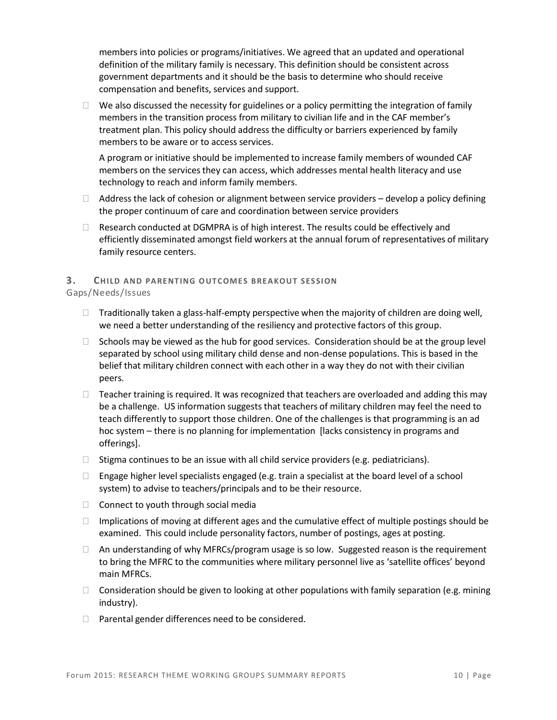members into policies or programs/initiatives. We agreed that an updated and operational definition of the military family is necessary. This definition should be consistent across government departments and it should be the basis to determine who should receive compensation and benefits, services and support.

 $\Box$  We also discussed the necessity for guidelines or a policy permitting the integration of family members in the transition process from military to civilian life and in the CAF member's treatment plan. This policy should address the difficulty or barriers experienced by family members to be aware or to access services.

A program or initiative should be implemented to increase family members of wounded CAF members on the services they can access, which addresses mental health literacy and use technology to reach and inform family members.

- $\Box$  Address the lack of cohesion or alignment between service providers develop a policy defining the proper continuum of care and coordination between service providers
- $\Box$  Research conducted at DGMPRA is of high interest. The results could be effectively and efficiently disseminated amongst field workers at the annual forum of representatives of military family resource centers.

#### **3. CHILD AND PARENTING OUTCOMES BREAKOUT SESSION**

#### Gaps/Needs/Issues

- $\Box$  Traditionally taken a glass-half-empty perspective when the majority of children are doing well, we need a better understanding of the resiliency and protective factors of this group.
- $\Box$  Schools may be viewed as the hub for good services. Consideration should be at the group level separated by school using military child dense and non-dense populations. This is based in the belief that military children connect with each other in a way they do not with their civilian peers.
- $\Box$  Teacher training is required. It was recognized that teachers are overloaded and adding this may be a challenge. US information suggests that teachers of military children may feel the need to teach differently to support those children. One of the challenges is that programming is an ad hoc system – there is no planning for implementation [lacks consistency in programs and offerings].
- $\Box$  Stigma continues to be an issue with all child service providers (e.g. pediatricians).
- $\Box$  Engage higher level specialists engaged (e.g. train a specialist at the board level of a school system) to advise to teachers/principals and to be their resource.
- $\Box$  Connect to youth through social media
- $\Box$  Implications of moving at different ages and the cumulative effect of multiple postings should be examined. This could include personality factors, number of postings, ages at posting.
- $\Box$  An understanding of why MFRCs/program usage is so low. Suggested reason is the requirement to bring the MFRC to the communities where military personnel live as 'satellite offices' beyond main MFRCs.
- $\Box$  Consideration should be given to looking at other populations with family separation (e.g. mining industry).
- $\Box$  Parental gender differences need to be considered.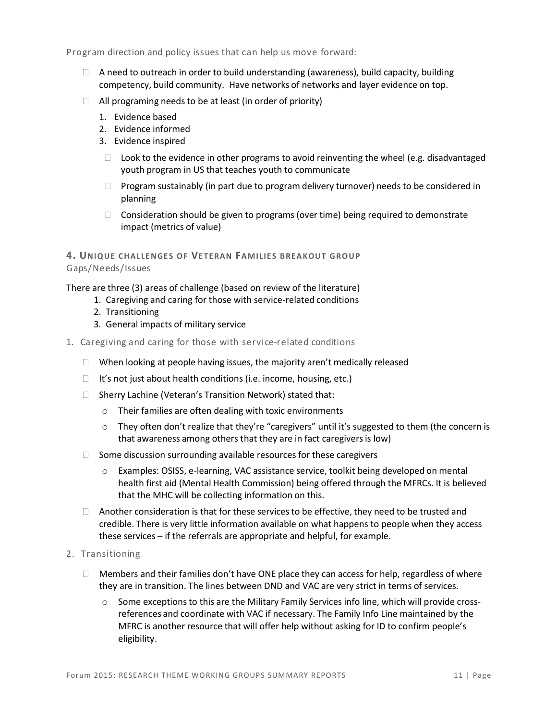Program direction and policy issues that can help us move forward:

- $\Box$  A need to outreach in order to build understanding (awareness), build capacity, building competency, build community. Have networks of networks and layer evidence on top.
- $\Box$  All programing needs to be at least (in order of priority)
	- 1. Evidence based
	- 2. Evidence informed
	- 3. Evidence inspired
	- $\Box$  Look to the evidence in other programs to avoid reinventing the wheel (e.g. disadvantaged youth program in US that teaches youth to communicate
	- $\Box$  Program sustainably (in part due to program delivery turnover) needs to be considered in planning
	- $\Box$  Consideration should be given to programs (over time) being required to demonstrate impact (metrics of value)

**4. UNIQUE CH ALLE NGE S OF VE TE RAN FA MILIE S BREA KOUT GROU P** Gaps/Needs/Issues

There are three (3) areas of challenge (based on review of the literature)

- 1. Caregiving and caring for those with service-related conditions
- 2. Transitioning
- 3. General impacts of military service
- 1. Caregiving and caring for those with service-related conditions
	- $\Box$  When looking at people having issues, the majority aren't medically released
	- $\Box$  It's not just about health conditions (i.e. income, housing, etc.)
	- □ Sherry Lachine (Veteran's Transition Network) stated that:
		- o Their families are often dealing with toxic environments
		- $\circ$  They often don't realize that they're "caregivers" until it's suggested to them (the concern is that awareness among others that they are in fact caregivers is low)
	- $\Box$  Some discussion surrounding available resources for these caregivers
		- o Examples: OSISS, e-learning, VAC assistance service, toolkit being developed on mental health first aid (Mental Health Commission) being offered through the MFRCs. It is believed that the MHC will be collecting information on this.
	- $\Box$  Another consideration is that for these services to be effective, they need to be trusted and credible. There is very little information available on what happens to people when they access these services – if the referrals are appropriate and helpful, for example.
- 2. Transitioning
	- $\Box$  Members and their families don't have ONE place they can access for help, regardless of where they are in transition. The lines between DND and VAC are very strict in terms of services.
		- $\circ$  Some exceptions to this are the Military Family Services info line, which will provide crossreferences and coordinate with VAC if necessary. The Family Info Line maintained by the MFRC is another resource that will offer help without asking for ID to confirm people's eligibility.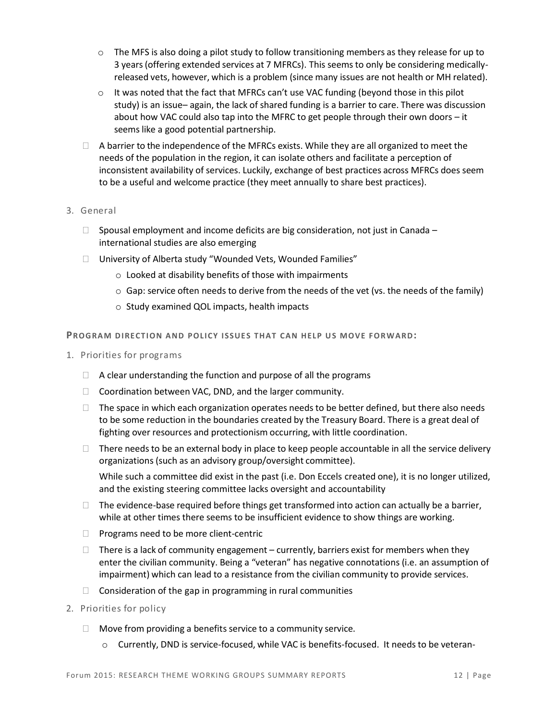- $\circ$  The MFS is also doing a pilot study to follow transitioning members as they release for up to 3 years(offering extended services at 7 MFRCs). This seems to only be considering medicallyreleased vets, however, which is a problem (since many issues are not health or MH related).
- $\circ$  It was noted that the fact that MFRCs can't use VAC funding (beyond those in this pilot study) is an issue– again, the lack of shared funding is a barrier to care. There was discussion about how VAC could also tap into the MFRC to get people through their own doors – it seems like a good potential partnership.
- $\Box$  A barrier to the independence of the MFRCs exists. While they are all organized to meet the needs of the population in the region, it can isolate others and facilitate a perception of inconsistent availability of services. Luckily, exchange of best practices across MFRCs does seem to be a useful and welcome practice (they meet annually to share best practices).
- 3. General
	- $\Box$  Spousal employment and income deficits are big consideration, not just in Canada international studies are also emerging
	- University of Alberta study "Wounded Vets, Wounded Families"
		- o Looked at disability benefits of those with impairments
		- $\circ$  Gap: service often needs to derive from the needs of the vet (vs. the needs of the family)
		- o Study examined QOL impacts, health impacts

**PROGRAM DIRECTION AND POLICY ISSUES THAT CAN HELP US MOVE FORWARD:** 

- 1. Priorities for programs
	- $\Box$  A clear understanding the function and purpose of all the programs
	- $\Box$  Coordination between VAC, DND, and the larger community.
	- $\Box$  The space in which each organization operates needs to be better defined, but there also needs to be some reduction in the boundaries created by the Treasury Board. There is a great deal of fighting over resources and protectionism occurring, with little coordination.
	- $\Box$  There needs to be an external body in place to keep people accountable in all the service delivery organizations (such as an advisory group/oversight committee).

While such a committee did exist in the past (i.e. Don Eccels created one), it is no longer utilized, and the existing steering committee lacks oversight and accountability

- $\Box$  The evidence-base required before things get transformed into action can actually be a barrier, while at other times there seems to be insufficient evidence to show things are working.
- $\Box$  Programs need to be more client-centric
- $\Box$  There is a lack of community engagement currently, barriers exist for members when they enter the civilian community. Being a "veteran" has negative connotations (i.e. an assumption of impairment) which can lead to a resistance from the civilian community to provide services.
- $\Box$  Consideration of the gap in programming in rural communities
- 2. Priorities for policy
	- $\Box$  Move from providing a benefits service to a community service.
		- o Currently, DND is service-focused, while VAC is benefits-focused. It needs to be veteran-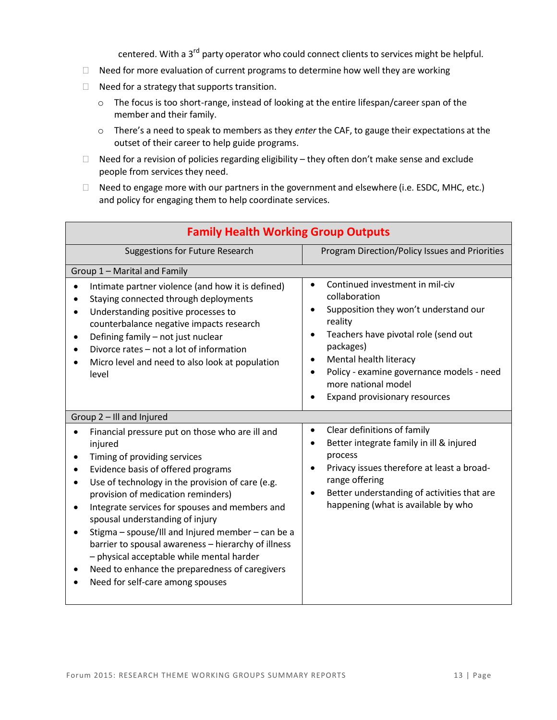centered. With a 3<sup>rd</sup> party operator who could connect clients to services might be helpful.

- $\Box$  Need for more evaluation of current programs to determine how well they are working
- $\Box$  Need for a strategy that supports transition.
	- o The focus is too short-range, instead of looking at the entire lifespan/careerspan of the member and their family.
	- o There's a need to speak to members as they *enter* the CAF, to gauge their expectations at the outset of their career to help guide programs.
- $\Box$  Need for a revision of policies regarding eligibility they often don't make sense and exclude people from services they need.
- $\Box$  Need to engage more with our partners in the government and elsewhere (i.e. ESDC, MHC, etc.) and policy for engaging them to help coordinate services.

| <b>Family Health Working Group Outputs</b>                                                                                                                                                                                                                                                                                                                                                                                                                                                                                                                                                                         |                                                                                                                                                                                                                                                                                                                                                           |  |  |
|--------------------------------------------------------------------------------------------------------------------------------------------------------------------------------------------------------------------------------------------------------------------------------------------------------------------------------------------------------------------------------------------------------------------------------------------------------------------------------------------------------------------------------------------------------------------------------------------------------------------|-----------------------------------------------------------------------------------------------------------------------------------------------------------------------------------------------------------------------------------------------------------------------------------------------------------------------------------------------------------|--|--|
| <b>Suggestions for Future Research</b>                                                                                                                                                                                                                                                                                                                                                                                                                                                                                                                                                                             | Program Direction/Policy Issues and Priorities                                                                                                                                                                                                                                                                                                            |  |  |
| Group 1 - Marital and Family                                                                                                                                                                                                                                                                                                                                                                                                                                                                                                                                                                                       |                                                                                                                                                                                                                                                                                                                                                           |  |  |
| Intimate partner violence (and how it is defined)<br>$\bullet$<br>Staying connected through deployments<br>Understanding positive processes to<br>counterbalance negative impacts research<br>Defining family - not just nuclear<br>$\bullet$<br>Divorce rates - not a lot of information<br>Micro level and need to also look at population<br>level                                                                                                                                                                                                                                                              | Continued investment in mil-civ<br>$\bullet$<br>collaboration<br>Supposition they won't understand our<br>$\bullet$<br>reality<br>Teachers have pivotal role (send out<br>$\bullet$<br>packages)<br>Mental health literacy<br>$\bullet$<br>Policy - examine governance models - need<br>$\bullet$<br>more national model<br>Expand provisionary resources |  |  |
| Group 2 - Ill and Injured                                                                                                                                                                                                                                                                                                                                                                                                                                                                                                                                                                                          |                                                                                                                                                                                                                                                                                                                                                           |  |  |
| Financial pressure put on those who are ill and<br>$\bullet$<br>injured<br>Timing of providing services<br>$\bullet$<br>Evidence basis of offered programs<br>Use of technology in the provision of care (e.g.<br>provision of medication reminders)<br>Integrate services for spouses and members and<br>$\bullet$<br>spousal understanding of injury<br>Stigma - spouse/Ill and Injured member - can be a<br>$\bullet$<br>barrier to spousal awareness - hierarchy of illness<br>- physical acceptable while mental harder<br>Need to enhance the preparedness of caregivers<br>Need for self-care among spouses | Clear definitions of family<br>$\bullet$<br>Better integrate family in ill & injured<br>$\bullet$<br>process<br>Privacy issues therefore at least a broad-<br>$\bullet$<br>range offering<br>Better understanding of activities that are<br>$\bullet$<br>happening (what is available by who                                                              |  |  |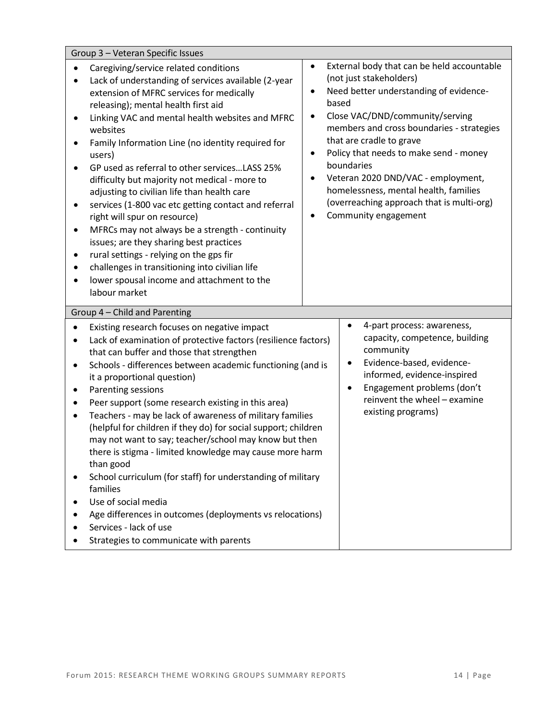| Group 3 - Veteran Specific Issues                                                                                                                                                                                                                                                                                                                                                                                                                                                                                                                                                                                                                                                                                                                                                                                                                            |                                                                                                                                                                                                                                                                                                                                                                                                                                                                                                                        |  |  |  |
|--------------------------------------------------------------------------------------------------------------------------------------------------------------------------------------------------------------------------------------------------------------------------------------------------------------------------------------------------------------------------------------------------------------------------------------------------------------------------------------------------------------------------------------------------------------------------------------------------------------------------------------------------------------------------------------------------------------------------------------------------------------------------------------------------------------------------------------------------------------|------------------------------------------------------------------------------------------------------------------------------------------------------------------------------------------------------------------------------------------------------------------------------------------------------------------------------------------------------------------------------------------------------------------------------------------------------------------------------------------------------------------------|--|--|--|
| Caregiving/service related conditions<br>Lack of understanding of services available (2-year<br>extension of MFRC services for medically<br>releasing); mental health first aid<br>Linking VAC and mental health websites and MFRC<br>websites<br>Family Information Line (no identity required for<br>users)<br>GP used as referral to other servicesLASS 25%<br>difficulty but majority not medical - more to<br>adjusting to civilian life than health care<br>services (1-800 vac etc getting contact and referral<br>right will spur on resource)<br>MFRCs may not always be a strength - continuity<br>$\bullet$<br>issues; are they sharing best practices<br>rural settings - relying on the gps fir<br>challenges in transitioning into civilian life<br>lower spousal income and attachment to the<br>labour market                                | External body that can be held accountable<br>$\bullet$<br>(not just stakeholders)<br>Need better understanding of evidence-<br>$\bullet$<br>based<br>Close VAC/DND/community/serving<br>$\bullet$<br>members and cross boundaries - strategies<br>that are cradle to grave<br>Policy that needs to make send - money<br>$\bullet$<br>boundaries<br>Veteran 2020 DND/VAC - employment,<br>٠<br>homelessness, mental health, families<br>(overreaching approach that is multi-org)<br>Community engagement<br>$\bullet$ |  |  |  |
| Group 4 - Child and Parenting<br>$\bullet$                                                                                                                                                                                                                                                                                                                                                                                                                                                                                                                                                                                                                                                                                                                                                                                                                   |                                                                                                                                                                                                                                                                                                                                                                                                                                                                                                                        |  |  |  |
| Existing research focuses on negative impact<br>Lack of examination of protective factors (resilience factors)<br>٠<br>that can buffer and those that strengthen<br>Schools - differences between academic functioning (and is<br>$\bullet$<br>it a proportional question)<br>Parenting sessions<br>Peer support (some research existing in this area)<br>Teachers - may be lack of awareness of military families<br>٠<br>(helpful for children if they do) for social support; children<br>may not want to say; teacher/school may know but then<br>there is stigma - limited knowledge may cause more harm<br>than good<br>School curriculum (for staff) for understanding of military<br>families<br>Use of social media<br>Age differences in outcomes (deployments vs relocations)<br>Services - lack of use<br>Strategies to communicate with parents | 4-part process: awareness,<br>capacity, competence, building<br>community<br>Evidence-based, evidence-<br>$\bullet$<br>informed, evidence-inspired<br>Engagement problems (don't<br>$\bullet$<br>reinvent the wheel - examine<br>existing programs)                                                                                                                                                                                                                                                                    |  |  |  |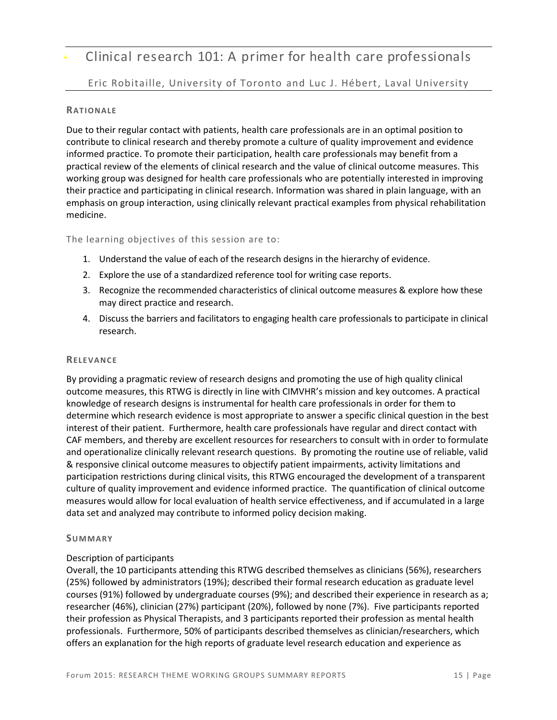# Clinical research 101: A primer for health care professionals

#### Eric Robitaille, University of Toronto and Luc J. Hébert, Laval University

#### **RATIONALE**

Due to their regular contact with patients, health care professionals are in an optimal position to contribute to clinical research and thereby promote a culture of quality improvement and evidence informed practice. To promote their participation, health care professionals may benefit from a practical review of the elements of clinical research and the value of clinical outcome measures. This working group was designed for health care professionals who are potentially interested in improving their practice and participating in clinical research. Information was shared in plain language, with an emphasis on group interaction, using clinically relevant practical examples from physical rehabilitation medicine.

#### The learning objectives of this session are to:

- 1. Understand the value of each of the research designs in the hierarchy of evidence.
- 2. Explore the use of a standardized reference tool for writing case reports.
- 3. Recognize the recommended characteristics of clinical outcome measures & explore how these may direct practice and research.
- 4. Discuss the barriers and facilitators to engaging health care professionals to participate in clinical research.

#### **RELE VANCE**

By providing a pragmatic review of research designs and promoting the use of high quality clinical outcome measures, this RTWG is directly in line with CIMVHR's mission and key outcomes. A practical knowledge of research designs is instrumental for health care professionals in order for them to determine which research evidence is most appropriate to answer a specific clinical question in the best interest of their patient. Furthermore, health care professionals have regular and direct contact with CAF members, and thereby are excellent resources for researchers to consult with in order to formulate and operationalize clinically relevant research questions. By promoting the routine use of reliable, valid & responsive clinical outcome measures to objectify patient impairments, activity limitations and participation restrictions during clinical visits, this RTWG encouraged the development of a transparent culture of quality improvement and evidence informed practice. The quantification of clinical outcome measures would allow for local evaluation of health service effectiveness, and if accumulated in a large data set and analyzed may contribute to informed policy decision making.

#### **SUMMA RY**

#### Description of participants

Overall, the 10 participants attending this RTWG described themselves as clinicians (56%), researchers (25%) followed by administrators (19%); described their formal research education as graduate level courses (91%) followed by undergraduate courses (9%); and described their experience in research as a; researcher (46%), clinician (27%) participant (20%), followed by none (7%). Five participants reported their profession as Physical Therapists, and 3 participants reported their profession as mental health professionals. Furthermore, 50% of participants described themselves as clinician/researchers, which offers an explanation for the high reports of graduate level research education and experience as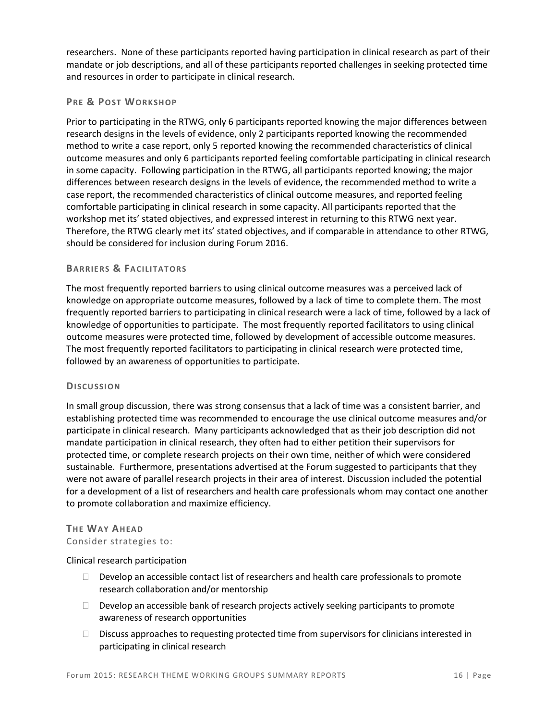researchers. None of these participants reported having participation in clinical research as part of their mandate or job descriptions, and all of these participants reported challenges in seeking protected time and resources in order to participate in clinical research.

#### **PRE & POST WORKSHOP**

Prior to participating in the RTWG, only 6 participants reported knowing the major differences between research designs in the levels of evidence, only 2 participants reported knowing the recommended method to write a case report, only 5 reported knowing the recommended characteristics of clinical outcome measures and only 6 participants reported feeling comfortable participating in clinical research in some capacity. Following participation in the RTWG, all participants reported knowing; the major differences between research designs in the levels of evidence, the recommended method to write a case report, the recommended characteristics of clinical outcome measures, and reported feeling comfortable participating in clinical research in some capacity. All participants reported that the workshop met its' stated objectives, and expressed interest in returning to this RTWG next year. Therefore, the RTWG clearly met its' stated objectives, and if comparable in attendance to other RTWG, should be considered for inclusion during Forum 2016.

#### **BA RRIE RS & FA CILITA TORS**

The most frequently reported barriers to using clinical outcome measures was a perceived lack of knowledge on appropriate outcome measures, followed by a lack of time to complete them. The most frequently reported barriers to participating in clinical research were a lack of time, followed by a lack of knowledge of opportunities to participate. The most frequently reported facilitators to using clinical outcome measures were protected time, followed by development of accessible outcome measures. The most frequently reported facilitators to participating in clinical research were protected time, followed by an awareness of opportunities to participate.

#### **DISCU SSION**

In small group discussion, there was strong consensus that a lack of time was a consistent barrier, and establishing protected time was recommended to encourage the use clinical outcome measures and/or participate in clinical research. Many participants acknowledged that as their job description did not mandate participation in clinical research, they often had to either petition their supervisors for protected time, or complete research projects on their own time, neither of which were considered sustainable. Furthermore, presentations advertised at the Forum suggested to participants that they were not aware of parallel research projects in their area of interest. Discussion included the potential for a development of a list of researchers and health care professionals whom may contact one another to promote collaboration and maximize efficiency.

# **THE WAY AHEAD**

## Consider strategies to:

Clinical research participation

- $\Box$  Develop an accessible contact list of researchers and health care professionals to promote research collaboration and/or mentorship
- $\Box$  Develop an accessible bank of research projects actively seeking participants to promote awareness of research opportunities
- $\square$  Discuss approaches to requesting protected time from supervisors for clinicians interested in participating in clinical research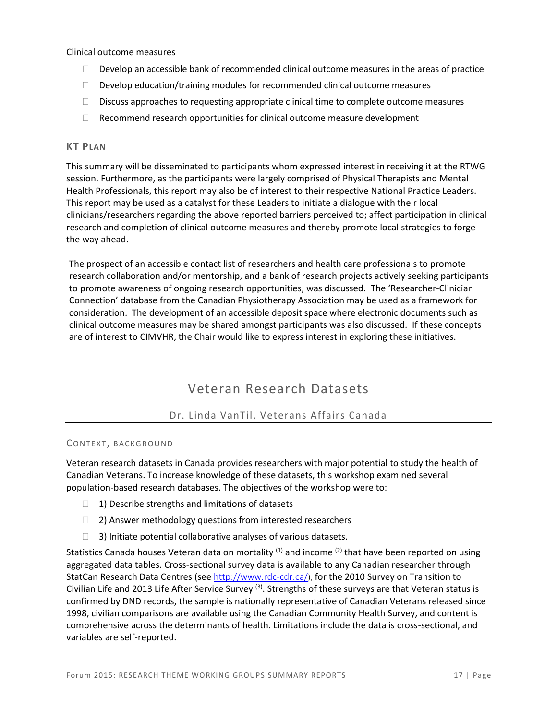Clinical outcome measures

- $\Box$  Develop an accessible bank of recommended clinical outcome measures in the areas of practice
- $\Box$  Develop education/training modules for recommended clinical outcome measures
- $\square$  Discuss approaches to requesting appropriate clinical time to complete outcome measures
- $\Box$  Recommend research opportunities for clinical outcome measure development

#### **KT PLAN**

This summary will be disseminated to participants whom expressed interest in receiving it at the RTWG session. Furthermore, as the participants were largely comprised of Physical Therapists and Mental Health Professionals, this report may also be of interest to their respective National Practice Leaders. This report may be used as a catalyst for these Leaders to initiate a dialogue with their local clinicians/researchers regarding the above reported barriers perceived to; affect participation in clinical research and completion of clinical outcome measures and thereby promote local strategies to forge the way ahead.

The prospect of an accessible contact list of researchers and health care professionals to promote research collaboration and/or mentorship, and a bank of research projects actively seeking participants to promote awareness of ongoing research opportunities, was discussed. The 'Researcher-Clinician Connection' database from the Canadian Physiotherapy Association may be used as a framework for consideration. The development of an accessible deposit space where electronic documents such as clinical outcome measures may be shared amongst participants was also discussed. If these concepts are of interest to CIMVHR, the Chair would like to express interest in exploring these initiatives.

## Veteran Research Datasets

#### Dr. Linda VanTil, Veterans Affairs Canada

#### CONTEXT, BACKGROUND

Veteran research datasets in Canada provides researchers with major potential to study the health of Canadian Veterans. To increase knowledge of these datasets, this workshop examined several population-based research databases. The objectives of the workshop were to:

- $\Box$  1) Describe strengths and limitations of datasets
- $\Box$  2) Answer methodology questions from interested researchers
- $\Box$  3) Initiate potential collaborative analyses of various datasets.

Statistics Canada houses Veteran data on mortality <sup>(1)</sup> and income <sup>(2)</sup> that have been reported on using aggregated data tables. Cross-sectional survey data is available to any Canadian researcher through StatCan Research Data Centres (see [http://www.rdc-cdr.ca/](http://www.veterans.gc.ca/)), for the 2010 Survey on Transition to Civilian Life and 2013 Life After Service Survey  $(3)$ . Strengths of these surveys are that Veteran status is confirmed by DND records, the sample is nationally representative of Canadian Veterans released since 1998, civilian comparisons are available using the Canadian Community Health Survey, and content is comprehensive across the determinants of health. Limitations include the data is cross-sectional, and variables are self-reported.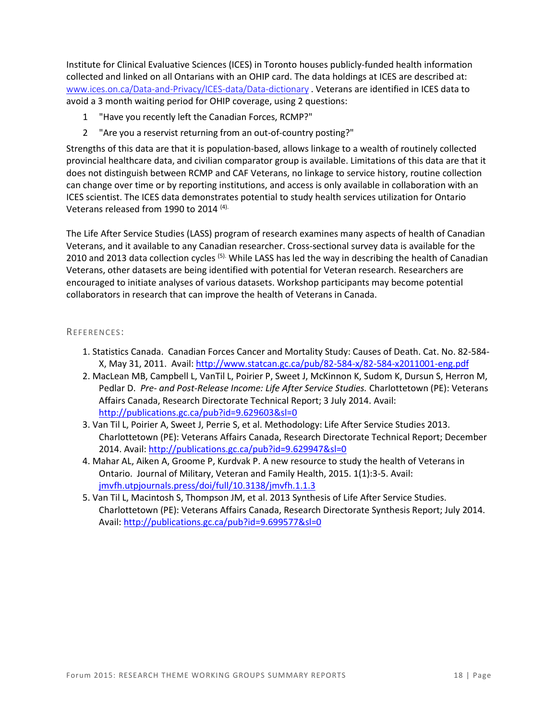Institute for Clinical Evaluative Sciences (ICES) in Toronto houses publicly-funded health information collected and linked on all Ontarians with an OHIP card. The data holdings at ICES are described at: [www.ices.on.ca/Data-and-Privacy/ICES-data/Data-dictionary](file://///VAHGRP01/G1/GROUPS/NODPSPD/1%20Research%20Directorate/PARTNERSHIPS-STAKEHOLDERS-CONFERENCES/CIMVHR/MVHR%20Forum%202015%20Quebec%20City/Workshop/www.ices.on.ca/Data-and-Privacy/ICES-data/Data-dictionary) . Veterans are identified in ICES data to avoid a 3 month waiting period for OHIP coverage, using 2 questions:

- 1 "Have you recently left the Canadian Forces, RCMP?"
- 2 "Are you a reservist returning from an out-of-country posting?"

Strengths of this data are that it is population-based, allows linkage to a wealth of routinely collected provincial healthcare data, and civilian comparator group is available. Limitations of this data are that it does not distinguish between RCMP and CAF Veterans, no linkage to service history, routine collection can change over time or by reporting institutions, and access is only available in collaboration with an ICES scientist. The ICES data demonstrates potential to study health services utilization for Ontario Veterans released from 1990 to 2014 (4).

The Life After Service Studies (LASS) program of research examines many aspects of health of Canadian Veterans, and it available to any Canadian researcher. Cross-sectional survey data is available for the 2010 and 2013 data collection cycles <sup>(5).</sup> While LASS has led the way in describing the health of Canadian Veterans, other datasets are being identified with potential for Veteran research. Researchers are encouraged to initiate analyses of various datasets. Workshop participants may become potential collaborators in research that can improve the health of Veterans in Canada.

#### REFE RENCES:

- 1. Statistics Canada. Canadian Forces Cancer and Mortality Study: Causes of Death. Cat. No. 82-584- X, May 31, 2011. Avail: <http://www.statcan.gc.ca/pub/82-584-x/82-584-x2011001-eng.pdf>
- 2. MacLean MB, Campbell L, VanTil L, Poirier P, Sweet J, McKinnon K, Sudom K, Dursun S, Herron M, Pedlar D. *Pre- and Post-Release Income: Life After Service Studies.* Charlottetown (PE): Veterans Affairs Canada, Research Directorate Technical Report; 3 July 2014. Avail: <http://publications.gc.ca/pub?id=9.629603&sl=0>
- 3. Van Til L, Poirier A, Sweet J, Perrie S, et al. Methodology: Life After Service Studies 2013. Charlottetown (PE): Veterans Affairs Canada, Research Directorate Technical Report; December 2014. Avail:<http://publications.gc.ca/pub?id=9.629947&sl=0>
- 4. Mahar AL, Aiken A, Groome P, Kurdvak P. A new resource to study the health of Veterans in Ontario. Journal of Military, Veteran and Family Health, 2015. 1(1):3-5. Avail: [jmvfh.utpjournals.press/doi/full/10.3138/jmvfh.1.1.3](http://jmvfh.utpjournals.press/doi/full/10.3138/jmvfh.1.1.3)
- 5. Van Til L, Macintosh S, Thompson JM, et al. 2013 Synthesis of Life After Service Studies. Charlottetown (PE): Veterans Affairs Canada, Research Directorate Synthesis Report; July 2014. Avail:<http://publications.gc.ca/pub?id=9.699577&sl=0>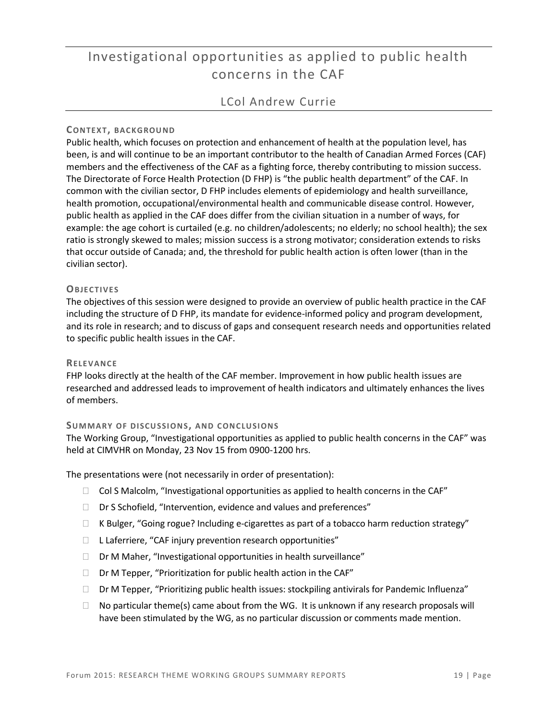# Investigational opportunities as applied to public health concerns in the CAF

## LCol Andrew Currie

#### **CONTEX T, BAC KGROU ND**

Public health, which focuses on protection and enhancement of health at the population level, has been, is and will continue to be an important contributor to the health of Canadian Armed Forces (CAF) members and the effectiveness of the CAF as a fighting force, thereby contributing to mission success. The Directorate of Force Health Protection (D FHP) is "the public health department" of the CAF. In common with the civilian sector, D FHP includes elements of epidemiology and health surveillance, health promotion, occupational/environmental health and communicable disease control. However, public health as applied in the CAF does differ from the civilian situation in a number of ways, for example: the age cohort is curtailed (e.g. no children/adolescents; no elderly; no school health); the sex ratio is strongly skewed to males; mission success is a strong motivator; consideration extends to risks that occur outside of Canada; and, the threshold for public health action is often lower (than in the civilian sector).

#### **OBJEC TIVES**

The objectives of this session were designed to provide an overview of public health practice in the CAF including the structure of D FHP, its mandate for evidence-informed policy and program development, and its role in research; and to discuss of gaps and consequent research needs and opportunities related to specific public health issues in the CAF.

#### **RELE VANCE**

FHP looks directly at the health of the CAF member. Improvement in how public health issues are researched and addressed leads to improvement of health indicators and ultimately enhances the lives of members.

#### **SUMMA RY OF DISCU SSIONS, AND C ONC LUSIONS**

The Working Group, "Investigational opportunities as applied to public health concerns in the CAF" was held at CIMVHR on Monday, 23 Nov 15 from 0900-1200 hrs.

The presentations were (not necessarily in order of presentation):

- $\Box$  Col S Malcolm, "Investigational opportunities as applied to health concerns in the CAF"
- $\Box$  Dr S Schofield, "Intervention, evidence and values and preferences"
- $\Box$  K Bulger, "Going rogue? Including e-cigarettes as part of a tobacco harm reduction strategy"
- $\Box$  Laferriere, "CAF injury prevention research opportunities"
- $\Box$  Dr M Maher, "Investigational opportunities in health surveillance"
- $\Box$  Dr M Tepper, "Prioritization for public health action in the CAF"
- Dr M Tepper, "Prioritizing public health issues: stockpiling antivirals for Pandemic Influenza"
- $\Box$  No particular theme(s) came about from the WG. It is unknown if any research proposals will have been stimulated by the WG, as no particular discussion or comments made mention.